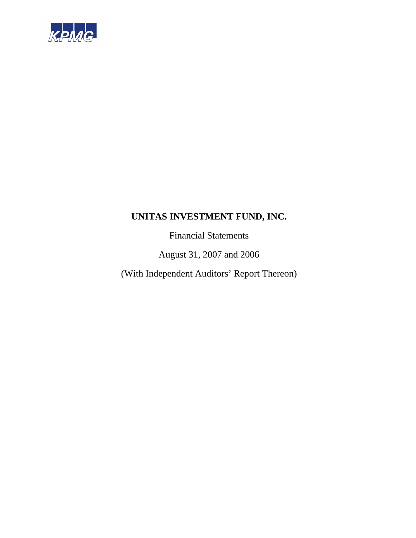

Financial Statements

August 31, 2007 and 2006

(With Independent Auditors' Report Thereon)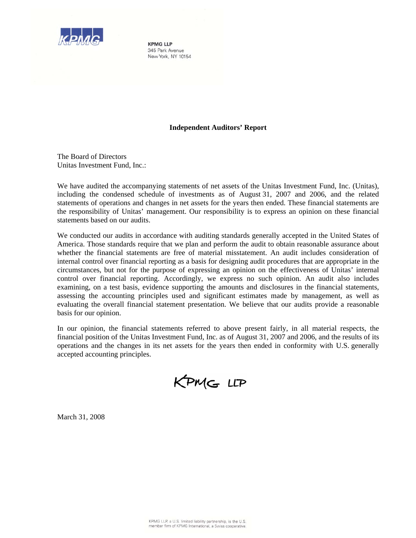

**KPMG LLP** 345 Park Avenue New York, NY 10154

# **Independent Auditors' Report**

The Board of Directors Unitas Investment Fund, Inc.:

We have audited the accompanying statements of net assets of the Unitas Investment Fund, Inc. (Unitas), including the condensed schedule of investments as of August 31, 2007 and 2006, and the related statements of operations and changes in net assets for the years then ended. These financial statements are the responsibility of Unitas' management. Our responsibility is to express an opinion on these financial statements based on our audits.

We conducted our audits in accordance with auditing standards generally accepted in the United States of America. Those standards require that we plan and perform the audit to obtain reasonable assurance about whether the financial statements are free of material misstatement. An audit includes consideration of internal control over financial reporting as a basis for designing audit procedures that are appropriate in the circumstances, but not for the purpose of expressing an opinion on the effectiveness of Unitas' internal control over financial reporting. Accordingly, we express no such opinion. An audit also includes examining, on a test basis, evidence supporting the amounts and disclosures in the financial statements, assessing the accounting principles used and significant estimates made by management, as well as evaluating the overall financial statement presentation. We believe that our audits provide a reasonable basis for our opinion.

In our opinion, the financial statements referred to above present fairly, in all material respects, the financial position of the Unitas Investment Fund, Inc. as of August 31, 2007 and 2006, and the results of its operations and the changes in its net assets for the years then ended in conformity with U.S. generally accepted accounting principles.

KPMG LLP

March 31, 2008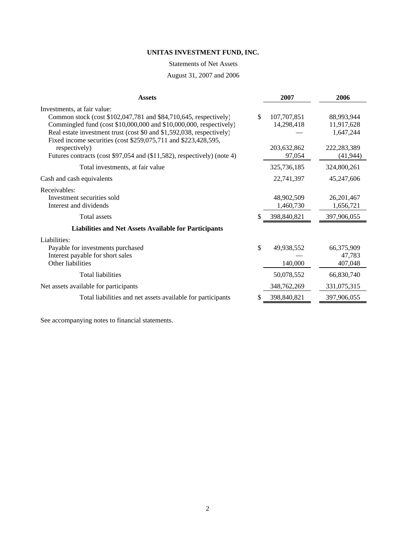## Statements of Net Assets

# August 31, 2007 and 2006

| <b>Assets</b>                                                                                                                           |    | 2007        | 2006          |
|-----------------------------------------------------------------------------------------------------------------------------------------|----|-------------|---------------|
| Investments, at fair value:                                                                                                             |    |             |               |
| Common stock (cost \$102,047,781 and \$84,710,645, respectively)                                                                        | \$ | 107,707,851 | 88,993,944    |
| Commingled fund (cost \$10,000,000 and \$10,000,000, respectively)                                                                      |    | 14,298,418  | 11,917,628    |
| Real estate investment trust (cost \$0 and \$1,592,038, respectively)<br>Fixed income securities (cost \$259,075,711 and \$223,428,595, |    |             | 1,647,244     |
| respectively)                                                                                                                           |    | 203,632,862 | 222, 283, 389 |
| Futures contracts (cost \$97,054 and (\$11,582), respectively) (note 4)                                                                 |    | 97,054      | (41, 944)     |
| Total investments, at fair value                                                                                                        |    | 325,736,185 | 324,800,261   |
| Cash and cash equivalents                                                                                                               |    | 22,741,397  | 45,247,606    |
| Receivables:                                                                                                                            |    |             |               |
| Investment securities sold                                                                                                              |    | 48,902,509  | 26, 201, 467  |
| Interest and dividends                                                                                                                  |    | 1,460,730   | 1,656,721     |
| Total assets                                                                                                                            | \$ | 398,840,821 | 397,906,055   |
| <b>Liabilities and Net Assets Available for Participants</b>                                                                            |    |             |               |
| Liabilities:                                                                                                                            |    |             |               |
| Payable for investments purchased                                                                                                       | \$ | 49,938,552  | 66,375,909    |
| Interest payable for short sales                                                                                                        |    |             | 47,783        |
| Other liabilities                                                                                                                       |    | 140,000     | 407,048       |
| <b>Total liabilities</b>                                                                                                                |    | 50,078,552  | 66,830,740    |
| Net assets available for participants                                                                                                   |    | 348,762,269 | 331,075,315   |
| Total liabilities and net assets available for participants                                                                             | S  | 398,840,821 | 397,906,055   |
|                                                                                                                                         |    |             |               |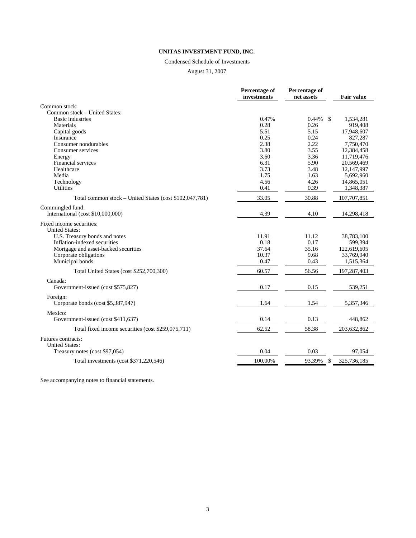## Condensed Schedule of Investments

August 31, 2007

|                                                         | Percentage of<br>investments | Percentage of<br>net assets | <b>Fair value</b> |
|---------------------------------------------------------|------------------------------|-----------------------------|-------------------|
| Common stock:                                           |                              |                             |                   |
| Common stock – United States:                           |                              |                             |                   |
| <b>Basic industries</b>                                 | 0.47%                        | 0.44%<br>\$                 | 1,534,281         |
| Materials                                               | 0.28                         | 0.26                        | 919,408           |
| Capital goods                                           | 5.51                         | 5.15                        | 17,948,607        |
| Insurance                                               | 0.25                         | 0.24                        | 827,287           |
| Consumer nondurables                                    | 2.38                         | 2.22                        | 7,750,470         |
| Consumer services                                       | 3.80                         | 3.55                        | 12,384,458        |
| Energy                                                  | 3.60                         | 3.36                        | 11,719,476        |
| Financial services                                      | 6.31                         | 5.90                        | 20,569,469        |
| Healthcare                                              | 3.73                         | 3.48                        | 12,147,997        |
| Media                                                   | 1.75                         | 1.63                        | 5,692,960         |
| Technology                                              | 4.56                         | 4.26                        | 14,865,051        |
| <b>Utilities</b>                                        | 0.41                         | 0.39                        | 1,348,387         |
| Total common stock - United States (cost \$102,047,781) | 33.05                        | 30.88                       | 107,707,851       |
| Commingled fund:                                        |                              |                             |                   |
| International (cost \$10,000,000)                       | 4.39                         | 4.10                        | 14,298,418        |
| Fixed income securities:<br><b>United States:</b>       |                              |                             |                   |
| U.S. Treasury bonds and notes                           | 11.91                        | 11.12                       | 38,783,100        |
| Inflation-indexed securities                            | 0.18                         | 0.17                        | 599,394           |
| Mortgage and asset-backed securities                    | 37.64                        | 35.16                       | 122,619,605       |
| Corporate obligations                                   | 10.37                        | 9.68                        | 33,769,940        |
| Municipal bonds                                         | 0.47                         | 0.43                        | 1,515,364         |
| Total United States (cost \$252,700,300)                | 60.57                        | 56.56                       | 197,287,403       |
| Canada:                                                 |                              |                             |                   |
| Government-issued (cost \$575,827)                      | 0.17                         | 0.15                        | 539,251           |
| Foreign:                                                |                              |                             |                   |
| Corporate bonds (cost \$5,387,947)                      | 1.64                         | 1.54                        | 5,357,346         |
| Mexico:                                                 |                              |                             |                   |
| Government-issued (cost \$411,637)                      | 0.14                         | 0.13                        | 448,862           |
| Total fixed income securities (cost \$259,075,711)      | 62.52                        | 58.38                       | 203,632,862       |
| Futures contracts:                                      |                              |                             |                   |
| <b>United States:</b>                                   |                              |                             |                   |
| Treasury notes (cost \$97,054)                          | 0.04                         | 0.03                        | 97.054            |
| Total investments (cost \$371,220,546)                  | 100.00%                      | 93.39%<br>\$                | 325,736,185       |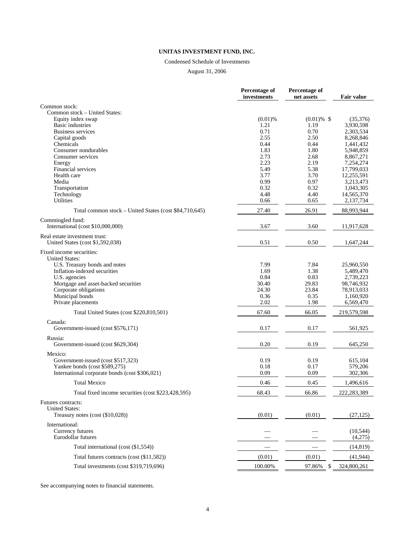#### Condensed Schedule of Investments

August 31, 2006

|                                                        | Percentage of<br>investments | Percentage of<br>net assets | <b>Fair value</b>      |
|--------------------------------------------------------|------------------------------|-----------------------------|------------------------|
| Common stock:                                          |                              |                             |                        |
| Common stock - United States:                          |                              |                             |                        |
| Equity index swap                                      | $(0.01)$ %                   | $(0.01) \%$ \$              | (35,376)               |
| <b>Basic industries</b>                                | 1.21                         | 1.19                        | 3,930,598              |
| <b>Business services</b>                               | 0.71                         | 0.70                        | 2,303,534              |
| Capital goods                                          | 2.55                         | 2.50                        | 8,268,846              |
| Chemicals                                              | 0.44                         | 0.44                        | 1,441,432              |
| Consumer nondurables                                   | 1.83                         | 1.80                        | 5,948,859              |
| Consumer services                                      | 2.73                         | 2.68                        | 8,867,271              |
| Energy                                                 | 2.23                         | 2.19                        | 7,254,274              |
| Financial services                                     | 5.49                         | 5.38                        | 17,799,033             |
| Health care                                            | 3.77                         | 3.70                        | 12,255,591             |
| Media                                                  | 0.99                         | 0.97                        | 3,213,473              |
| Transportation                                         | 0.32                         | 0.32                        | 1,043,305              |
| Technology                                             | 4.48                         | 4.40                        | 14,565,370             |
| <b>Utilities</b>                                       | 0.66                         | 0.65                        | 2,137,734              |
| Total common stock – United States (cost \$84,710,645) | 27.40                        | 26.91                       | 88,993,944             |
| Commingled fund:                                       |                              |                             |                        |
| International (cost \$10,000,000)                      | 3.67                         | 3.60                        | 11,917,628             |
| Real estate investment trust:                          |                              |                             |                        |
| United States (cost \$1,592,038)                       | 0.51                         | 0.50                        | 1,647,244              |
| Fixed income securities:                               |                              |                             |                        |
| <b>United States:</b>                                  |                              |                             |                        |
| U.S. Treasury bonds and notes                          | 7.99                         | 7.84                        | 25,960,550             |
| Inflation-indexed securities                           | 1.69                         | 1.38                        | 5,489,470              |
| U.S. agencies                                          | 0.84<br>30.40                | 0.83<br>29.83               | 2,739,223              |
| Mortgage and asset-backed securities                   | 24.30                        | 23.84                       | 98,746,932             |
| Corporate obligations                                  | 0.36                         |                             | 78,913,033             |
| Municipal bonds<br>Private placements                  | 2.02                         | 0.35<br>1.98                | 1,160,920<br>6,569,470 |
| Total United States (cost \$220,810,501)               | 67.60                        | 66.05                       | 219,579,598            |
| Canada:                                                |                              |                             |                        |
| Government-issued (cost \$576,171)                     | 0.17                         | 0.17                        | 561,925                |
| Russia:                                                |                              |                             |                        |
| Government-issued (cost \$629,304)                     | 0.20                         | 0.19                        | 645,250                |
| Mexico:                                                |                              |                             |                        |
| Government-issued (cost \$517,323)                     | 0.19                         | 0.19                        | 615,104                |
| Yankee bonds (cost \$589,275)                          | 0.18                         | 0.17                        | 579,206                |
| International corporate bonds (cost \$306,021)         | 0.09                         | 0.09                        | 302,306                |
| <b>Total Mexico</b>                                    | 0.46                         | 0.45                        | 1,496,616              |
| Total fixed income securities (cost \$223,428,595)     | 68.43                        | 66.86                       | 222,283,389            |
| Futures contracts:                                     |                              |                             |                        |
| <b>United States:</b>                                  |                              |                             |                        |
| Treasury notes (cost (\$10,028))                       | (0.01)                       | (0.01)                      | (27, 125)              |
| International:                                         |                              |                             |                        |
| Currency futures                                       |                              |                             | (10, 544)              |
| Eurodollar futures                                     |                              |                             | (4,275)                |
|                                                        |                              |                             |                        |
| Total international (cost (\$1,554))                   |                              |                             | (14, 819)              |
| Total futures contracts (cost (\$11,582))              | (0.01)                       | (0.01)                      | (41, 944)              |
| Total investments (cost \$319,719,696)                 | 100.00%                      | 97.86%<br>\$                | 324,800,261            |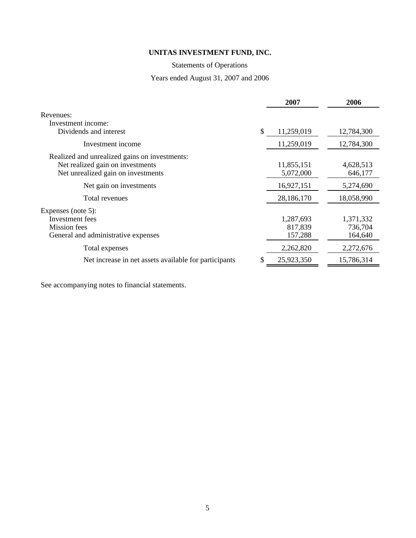# Statements of Operations

# Years ended August 31, 2007 and 2006

|                                                       | 2007             | 2006       |
|-------------------------------------------------------|------------------|------------|
| Revenues:                                             |                  |            |
| Investment income:                                    |                  |            |
| Dividends and interest                                | \$<br>11,259,019 | 12,784,300 |
| Investment income                                     | 11,259,019       | 12,784,300 |
| Realized and unrealized gains on investments:         |                  |            |
| Net realized gain on investments                      | 11,855,151       | 4,628,513  |
| Net unrealized gain on investments                    | 5,072,000        | 646,177    |
| Net gain on investments                               | 16,927,151       | 5,274,690  |
| Total revenues                                        | 28,186,170       | 18,058,990 |
| Expenses (note 5):                                    |                  |            |
| Investment fees                                       | 1,287,693        | 1,371,332  |
| Mission fees                                          | 817,839          | 736,704    |
| General and administrative expenses                   | 157,288          | 164,640    |
| Total expenses                                        | 2,262,820        | 2,272,676  |
| Net increase in net assets available for participants | 25,923,350       | 15,786,314 |
|                                                       |                  |            |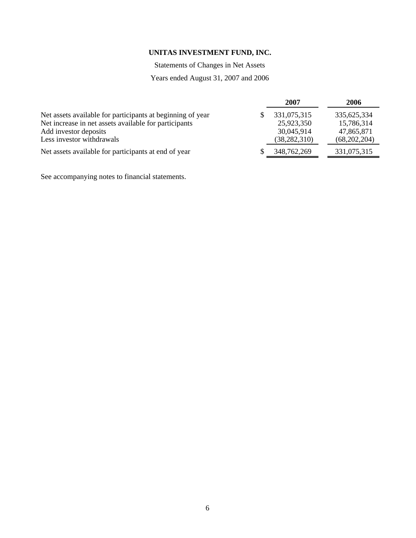Statements of Changes in Net Assets

# Years ended August 31, 2007 and 2006

|                                                            | 2007           | 2006         |
|------------------------------------------------------------|----------------|--------------|
| Net assets available for participants at beginning of year | 331,075,315    | 335,625,334  |
| Net increase in net assets available for participants      | 25,923,350     | 15,786,314   |
| Add investor deposits                                      | 30,045,914     | 47,865,871   |
| Less investor withdrawals                                  | (38, 282, 310) | (68,202,204) |
| Net assets available for participants at end of year       | 348,762,269    | 331,075,315  |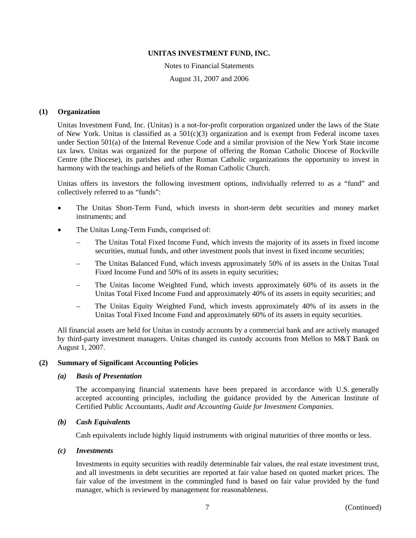Notes to Financial Statements August 31, 2007 and 2006

## **(1) Organization**

Unitas Investment Fund, Inc. (Unitas) is a not-for-profit corporation organized under the laws of the State of New York. Unitas is classified as a 501(c)(3) organization and is exempt from Federal income taxes under Section 501(a) of the Internal Revenue Code and a similar provision of the New York State income tax laws. Unitas was organized for the purpose of offering the Roman Catholic Diocese of Rockville Centre (the Diocese), its parishes and other Roman Catholic organizations the opportunity to invest in harmony with the teachings and beliefs of the Roman Catholic Church.

Unitas offers its investors the following investment options, individually referred to as a "fund" and collectively referred to as "funds":

- The Unitas Short-Term Fund, which invests in short-term debt securities and money market instruments; and
- The Unitas Long-Term Funds, comprised of:
	- The Unitas Total Fixed Income Fund, which invests the majority of its assets in fixed income securities, mutual funds, and other investment pools that invest in fixed income securities;
	- The Unitas Balanced Fund, which invests approximately 50% of its assets in the Unitas Total Fixed Income Fund and 50% of its assets in equity securities;
	- The Unitas Income Weighted Fund, which invests approximately 60% of its assets in the Unitas Total Fixed Income Fund and approximately 40% of its assets in equity securities; and
	- The Unitas Equity Weighted Fund, which invests approximately 40% of its assets in the Unitas Total Fixed Income Fund and approximately 60% of its assets in equity securities.

All financial assets are held for Unitas in custody accounts by a commercial bank and are actively managed by third-party investment managers. Unitas changed its custody accounts from Mellon to M&T Bank on August 1, 2007.

# **(2) Summary of Significant Accounting Policies**

#### *(a) Basis of Presentation*

The accompanying financial statements have been prepared in accordance with U.S. generally accepted accounting principles, including the guidance provided by the American Institute of Certified Public Accountants, *Audit and Accounting Guide for Investment Companies*.

### *(b) Cash Equivalents*

Cash equivalents include highly liquid instruments with original maturities of three months or less.

#### *(c) Investments*

Investments in equity securities with readily determinable fair values, the real estate investment trust, and all investments in debt securities are reported at fair value based on quoted market prices. The fair value of the investment in the commingled fund is based on fair value provided by the fund manager, which is reviewed by management for reasonableness.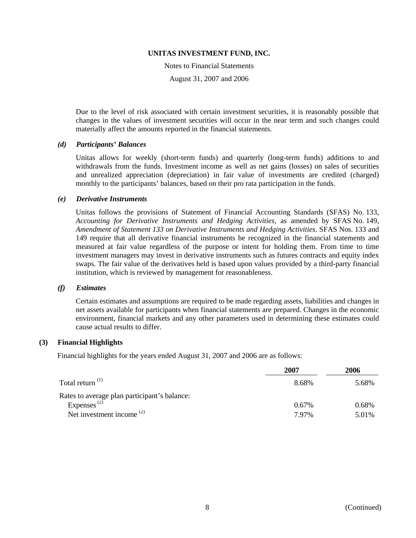Notes to Financial Statements August 31, 2007 and 2006

Due to the level of risk associated with certain investment securities, it is reasonably possible that changes in the values of investment securities will occur in the near term and such changes could materially affect the amounts reported in the financial statements.

#### *(d) Participants' Balances*

Unitas allows for weekly (short-term funds) and quarterly (long-term funds) additions to and withdrawals from the funds. Investment income as well as net gains (losses) on sales of securities and unrealized appreciation (depreciation) in fair value of investments are credited (charged) monthly to the participants' balances, based on their pro rata participation in the funds.

#### *(e) Derivative Instruments*

Unitas follows the provisions of Statement of Financial Accounting Standards (SFAS) No. 133, *Accounting for Derivative Instruments and Hedging Activities*, as amended by SFAS No. 149, *Amendment of Statement 133 on Derivative Instruments and Hedging Activities*. SFAS Nos. 133 and 149 require that all derivative financial instruments be recognized in the financial statements and measured at fair value regardless of the purpose or intent for holding them. From time to time investment managers may invest in derivative instruments such as futures contracts and equity index swaps. The fair value of the derivatives held is based upon values provided by a third-party financial institution, which is reviewed by management for reasonableness.

#### *(f) Estimates*

Certain estimates and assumptions are required to be made regarding assets, liabilities and changes in net assets available for participants when financial statements are prepared. Changes in the economic environment, financial markets and any other parameters used in determining these estimates could cause actual results to differ.

#### **(3) Financial Highlights**

Financial highlights for the years ended August 31, 2007 and 2006 are as follows:

|                                              | 2007  | 2006  |
|----------------------------------------------|-------|-------|
| Total return <sup>(1)</sup>                  | 8.68% | 5.68% |
| Rates to average plan participant's balance: |       |       |
| Expenses <sup><math>(2)</math></sup>         | 0.67% | 0.68% |
| Net investment income $(2)$                  | 797%  | 5.01% |